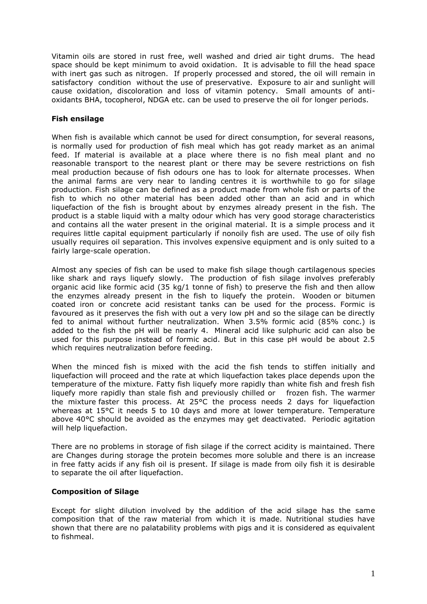Vitamin oils are stored in rust free, well washed and dried air tight drums. The head space should be kept minimum to avoid oxidation. It is advisable to fill the head space with inert gas such as nitrogen. If properly processed and stored, the oil will remain in satisfactory condition without the use of preservative. Exposure to air and sunlight will cause oxidation, discoloration and loss of vitamin potency. Small amounts of antioxidants BHA, tocopherol, NDGA etc. can be used to preserve the oil for longer periods.

# **Fish ensilage**

When fish is available which cannot be used for direct consumption, for several reasons, is normally used for production of fish meal which has got ready market as an animal feed. If material is available at a place where there is no fish meal plant and no reasonable transport to the nearest plant or there may be severe restrictions on fish meal production because of fish odours one has to look for alternate processes. When the animal farms are very near to landing centres it is worthwhile to go for silage production. Fish silage can be defined as a product made from whole fish or parts of the fish to which no other material has been added other than an acid and in which liquefaction of the fish is brought about by enzymes already present in the fish. The product is a stable liquid with a malty odour which has very good storage characteristics and contains all the water present in the original material. It is a simple process and it requires little capital equipment particularly if nonoily fish are used. The use of oily fish usually requires oil separation. This involves expensive equipment and is only suited to a fairly large-scale operation.

Almost any species of fish can be used to make fish silage though cartilagenous species like shark and rays liquefy slowly. The production of fish silage involves preferably organic acid like formic acid (35 kg/1 tonne of fish) to preserve the fish and then allow the enzymes already present in the fish to liquefy the protein. Wooden or bitumen coated iron or concrete acid resistant tanks can be used for the process. Formic is favoured as it preserves the fish with out a very low pH and so the silage can be directly fed to animal without further neutralization. When 3.5% formic acid (85% conc.) is added to the fish the pH will be nearly 4. Mineral acid like sulphuric acid can also be used for this purpose instead of formic acid. But in this case pH would be about 2.5 which requires neutralization before feeding.

When the minced fish is mixed with the acid the fish tends to stiffen initially and liquefaction will proceed and the rate at which liquefaction takes place depends upon the temperature of the mixture. Fatty fish liquefy more rapidly than white fish and fresh fish liquefy more rapidly than stale fish and previously chilled or frozen fish. The warmer the mixture faster this process. At 25°C the process needs 2 days for liquefaction whereas at 15°C it needs 5 to 10 days and more at lower temperature. Temperature above 40°C should be avoided as the enzymes may get deactivated. Periodic agitation will help liquefaction.

There are no problems in storage of fish silage if the correct acidity is maintained. There are Changes during storage the protein becomes more soluble and there is an increase in free fatty acids if any fish oil is present. If silage is made from oily fish it is desirable to separate the oil after liquefaction.

## **Composition of Silage**

Except for slight dilution involved by the addition of the acid silage has the same composition that of the raw material from which it is made. Nutritional studies have shown that there are no palatability problems with pigs and it is considered as equivalent to fishmeal.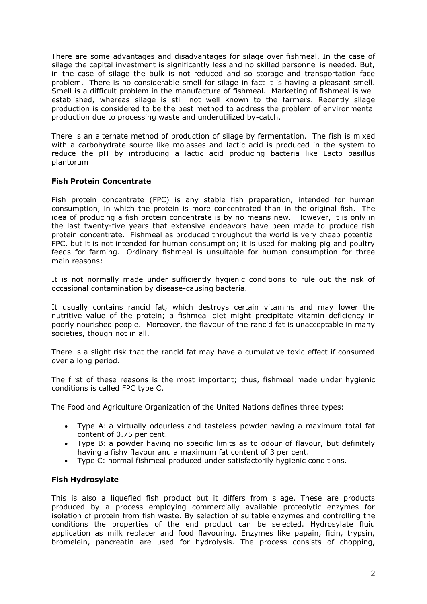There are some advantages and disadvantages for silage over fishmeal. In the case of silage the capital investment is significantly less and no skilled personnel is needed. But, in the case of silage the bulk is not reduced and so storage and transportation face problem. There is no considerable smell for silage in fact it is having a pleasant smell. Smell is a difficult problem in the manufacture of fishmeal. Marketing of fishmeal is well established, whereas silage is still not well known to the farmers. Recently silage production is considered to be the best method to address the problem of environmental production due to processing waste and underutilized by-catch.

There is an alternate method of production of silage by fermentation. The fish is mixed with a carbohydrate source like molasses and lactic acid is produced in the system to reduce the pH by introducing a lactic acid producing bacteria like Lacto basillus plantorum

# **Fish Protein Concentrate**

Fish protein concentrate (FPC) is any stable fish preparation, intended for human consumption, in which the protein is more concentrated than in the original fish. The idea of producing a fish protein concentrate is by no means new. However, it is only in the last twenty-five years that extensive endeavors have been made to produce fish protein concentrate. Fishmeal as produced throughout the world is very cheap potential FPC, but it is not intended for human consumption; it is used for making pig and poultry feeds for farming. Ordinary fishmeal is unsuitable for human consumption for three main reasons:

It is not normally made under sufficiently hygienic conditions to rule out the risk of occasional contamination by disease-causing bacteria.

It usually contains rancid fat, which destroys certain vitamins and may lower the nutritive value of the protein; a fishmeal diet might precipitate vitamin deficiency in poorly nourished people. Moreover, the flavour of the rancid fat is unacceptable in many societies, though not in all.

There is a slight risk that the rancid fat may have a cumulative toxic effect if consumed over a long period.

The first of these reasons is the most important; thus, fishmeal made under hygienic conditions is called FPC type C.

The Food and Agriculture Organization of the United Nations defines three types:

- Type A: a virtually odourless and tasteless powder having a maximum total fat content of 0.75 per cent.
- Type B: a powder having no specific limits as to odour of flavour, but definitely having a fishy flavour and a maximum fat content of 3 per cent.
- Type C: normal fishmeal produced under satisfactorily hygienic conditions.

## **Fish Hydrosylate**

This is also a liquefied fish product but it differs from silage. These are products produced by a process employing commercially available proteolytic enzymes for isolation of protein from fish waste. By selection of suitable enzymes and controlling the conditions the properties of the end product can be selected. Hydrosylate fluid application as milk replacer and food flavouring. Enzymes like papain, ficin, trypsin, bromelein, pancreatin are used for hydrolysis. The process consists of chopping,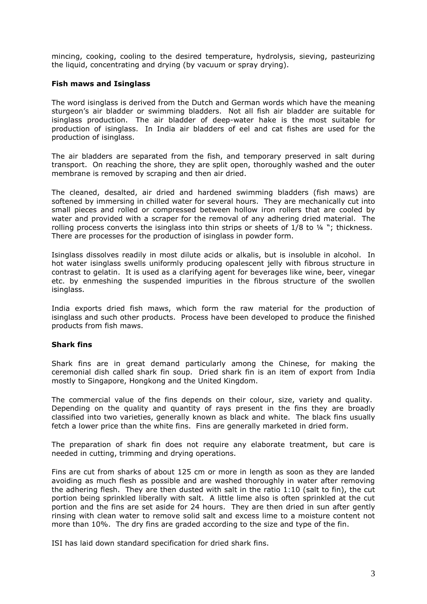mincing, cooking, cooling to the desired temperature, hydrolysis, sieving, pasteurizing the liquid, concentrating and drying (by vacuum or spray drying).

## **Fish maws and Isinglass**

The word isinglass is derived from the Dutch and German words which have the meaning sturgeon's air bladder or swimming bladders. Not all fish air bladder are suitable for isinglass production. The air bladder of deep-water hake is the most suitable for production of isinglass. In India air bladders of eel and cat fishes are used for the production of isinglass.

The air bladders are separated from the fish, and temporary preserved in salt during transport. On reaching the shore, they are split open, thoroughly washed and the outer membrane is removed by scraping and then air dried.

The cleaned, desalted, air dried and hardened swimming bladders (fish maws) are softened by immersing in chilled water for several hours. They are mechanically cut into small pieces and rolled or compressed between hollow iron rollers that are cooled by water and provided with a scraper for the removal of any adhering dried material. The rolling process converts the isinglass into thin strips or sheets of  $1/8$  to  $\frac{1}{4}$  "; thickness. There are processes for the production of isinglass in powder form.

Isinglass dissolves readily in most dilute acids or alkalis, but is insoluble in alcohol. In hot water isinglass swells uniformly producing opalescent jelly with fibrous structure in contrast to gelatin. It is used as a clarifying agent for beverages like wine, beer, vinegar etc. by enmeshing the suspended impurities in the fibrous structure of the swollen isinglass.

India exports dried fish maws, which form the raw material for the production of isinglass and such other products. Process have been developed to produce the finished products from fish maws.

## **Shark fins**

Shark fins are in great demand particularly among the Chinese, for making the ceremonial dish called shark fin soup. Dried shark fin is an item of export from India mostly to Singapore, Hongkong and the United Kingdom.

The commercial value of the fins depends on their colour, size, variety and quality. Depending on the quality and quantity of rays present in the fins they are broadly classified into two varieties, generally known as black and white. The black fins usually fetch a lower price than the white fins. Fins are generally marketed in dried form.

The preparation of shark fin does not require any elaborate treatment, but care is needed in cutting, trimming and drying operations.

Fins are cut from sharks of about 125 cm or more in length as soon as they are landed avoiding as much flesh as possible and are washed thoroughly in water after removing the adhering flesh. They are then dusted with salt in the ratio 1:10 (salt to fin), the cut portion being sprinkled liberally with salt. A little lime also is often sprinkled at the cut portion and the fins are set aside for 24 hours. They are then dried in sun after gently rinsing with clean water to remove solid salt and excess lime to a moisture content not more than 10%. The dry fins are graded according to the size and type of the fin.

ISI has laid down standard specification for dried shark fins.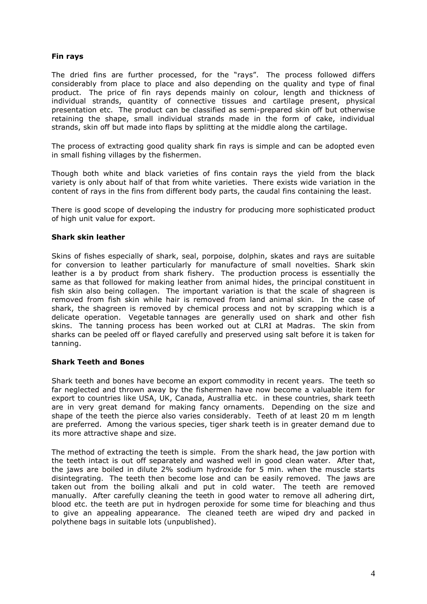# **Fin rays**

The dried fins are further processed, for the "rays". The process followed differs considerably from place to place and also depending on the quality and type of final product. The price of fin rays depends mainly on colour, length and thickness of individual strands, quantity of connective tissues and cartilage present, physical presentation etc. The product can be classified as semi-prepared skin off but otherwise retaining the shape, small individual strands made in the form of cake, individual strands, skin off but made into flaps by splitting at the middle along the cartilage.

The process of extracting good quality shark fin rays is simple and can be adopted even in small fishing villages by the fishermen.

Though both white and black varieties of fins contain rays the yield from the black variety is only about half of that from white varieties. There exists wide variation in the content of rays in the fins from different body parts, the caudal fins containing the least.

There is good scope of developing the industry for producing more sophisticated product of high unit value for export.

## **Shark skin leather**

Skins of fishes especially of shark, seal, porpoise, dolphin, skates and rays are suitable for conversion to leather particularly for manufacture of small novelties. Shark skin leather is a by product from shark fishery. The production process is essentially the same as that followed for making leather from animal hides, the principal constituent in fish skin also being collagen. The important variation is that the scale of shagreen is removed from fish skin while hair is removed from land animal skin. In the case of shark, the shagreen is removed by chemical process and not by scrapping which is a delicate operation. Vegetable tannages are generally used on shark and other fish skins. The tanning process has been worked out at CLRI at Madras. The skin from sharks can be peeled off or flayed carefully and preserved using salt before it is taken for tanning.

## **Shark Teeth and Bones**

Shark teeth and bones have become an export commodity in recent years. The teeth so far neglected and thrown away by the fishermen have now become a valuable item for export to countries like USA, UK, Canada, Australlia etc. in these countries, shark teeth are in very great demand for making fancy ornaments. Depending on the size and shape of the teeth the pierce also varies considerably. Teeth of at least 20 m m length are preferred. Among the various species, tiger shark teeth is in greater demand due to its more attractive shape and size.

The method of extracting the teeth is simple. From the shark head, the jaw portion with the teeth intact is out off separately and washed well in good clean water. After that, the jaws are boiled in dilute 2% sodium hydroxide for 5 min. when the muscle starts disintegrating. The teeth then become lose and can be easily removed. The jaws are taken out from the boiling alkali and put in cold water. The teeth are removed manually. After carefully cleaning the teeth in good water to remove all adhering dirt, blood etc. the teeth are put in hydrogen peroxide for some time for bleaching and thus to give an appealing appearance. The cleaned teeth are wiped dry and packed in polythene bags in suitable lots (unpublished).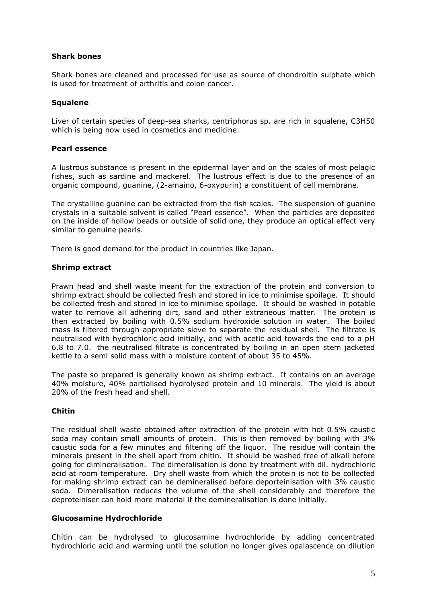## **Shark bones**

Shark bones are cleaned and processed for use as source of chondroitin sulphate which is used for treatment of arthritis and colon cancer.

# **Squalene**

Liver of certain species of deep-sea sharks, centriphorus sp. are rich in squalene, C3H50 which is being now used in cosmetics and medicine.

## **Pearl essence**

A lustrous substance is present in the epidermal layer and on the scales of most pelagic fishes, such as sardine and mackerel. The lustrous effect is due to the presence of an organic compound, guanine, (2-amaino, 6-oxypurin) a constituent of cell membrane.

The crystalline guanine can be extracted from the fish scales. The suspension of guanine crystals in a suitable solvent is called "Pearl essence". When the particles are deposited on the inside of hollow beads or outside of solid one, they produce an optical effect very similar to genuine pearls.

There is good demand for the product in countries like Japan.

# **Shrimp extract**

Prawn head and shell waste meant for the extraction of the protein and conversion to shrimp extract should be collected fresh and stored in ice to minimise spoilage. It should be collected fresh and stored in ice to minimise spoilage. It should be washed in potable water to remove all adhering dirt, sand and other extraneous matter. The protein is then extracted by boiling with 0.5% sodium hydroxide solution in water. The boiled mass is filtered through appropriate sieve to separate the residual shell. The filtrate is neutralised with hydrochloric acid initially, and with acetic acid towards the end to a pH 6.8 to 7.0. the neutralised filtrate is concentrated by boiling in an open stem jacketed kettle to a semi solid mass with a moisture content of about 35 to 45%.

The paste so prepared is generally known as shrimp extract. It contains on an average 40% moisture, 40% partialised hydrolysed protein and 10 minerals. The yield is about 20% of the fresh head and shell.

# **Chitin**

The residual shell waste obtained after extraction of the protein with hot 0.5% caustic soda may contain small amounts of protein. This is then removed by boiling with 3% caustic soda for a few minutes and filtering off the liquor. The residue will contain the minerals present in the shell apart from chitin. It should be washed free of alkali before going for dimineralisation. The dimeralisation is done by treatment with dil. hydrochloric acid at room temperature. Dry shell waste from which the protein is not to be collected for making shrimp extract can be demineralised before deporteinisation with 3% caustic soda. Dimeralisation reduces the volume of the shell considerably and therefore the deproteiniser can hold more material if the demineralisation is done initially.

## **Glucosamine Hydrochloride**

Chitin can be hydrolysed to glucosamine hydrochloride by adding concentrated hydrochloric acid and warming until the solution no longer gives opalascence on dilution